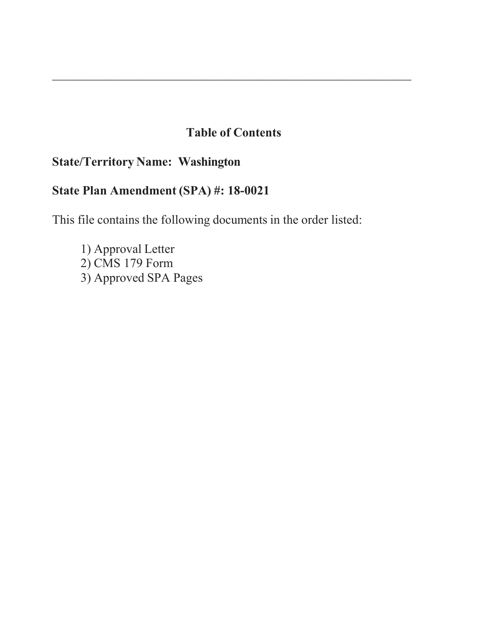# **Table of Contents**

\_\_\_\_\_\_\_\_\_\_\_\_\_\_\_\_\_\_\_\_\_\_\_\_\_\_\_\_\_\_\_\_\_\_\_\_\_\_\_\_\_\_\_\_\_\_\_\_\_\_\_\_\_\_\_\_\_\_\_\_\_\_\_\_\_\_\_\_\_\_\_\_\_\_\_\_\_\_\_\_\_\_\_

# **State/Territory Name: Washington**

# **State Plan Amendment (SPA) #: 18-00**

This file contains the following documents in the order listed:

1) Approval Letter  $2)$  CMS 179 Form 3) Approved SPA Pages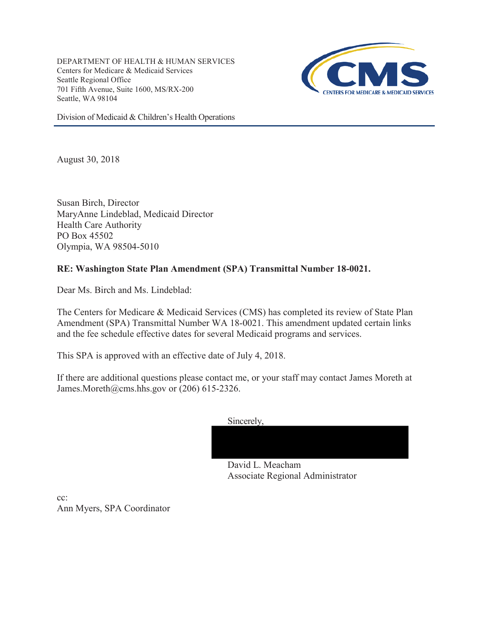DEPARTMENT OF HEALTH & HUMAN SERVICES Centers for Medicare & Medicaid Services Seattle Regional Office 701 Fifth Avenue, Suite 1600, MS/RX-200 Seattle, WA 98104



Division of Medicaid & Children's Health Operations

August 30, 2018

Susan Birch, Director MaryAnne Lindeblad, Medicaid Director Health Care Authority PO Box 45502 Olympia, WA 98504-5010

# **RE: Washington State Plan Amendment (SPA) Transmittal Number 18-0021.**

Dear Ms. Birch and Ms. Lindeblad:

The Centers for Medicare & Medicaid Services (CMS) has completed its review of State Plan Amendment (SPA) Transmittal Number WA 18-0021. This amendment updated certain links and the fee schedule effective dates for several Medicaid programs and services.

This SPA is approved with an effective date of July 4, 2018.

If there are additional questions please contact me, or your staff may contact James Moreth at James.Moreth@cms.hhs.gov or (206) 615-2326.

Sincerely,

David L. Meacham Associate Regional Administrator

 $cc^{\dagger}$ Ann Myers, SPA Coordinator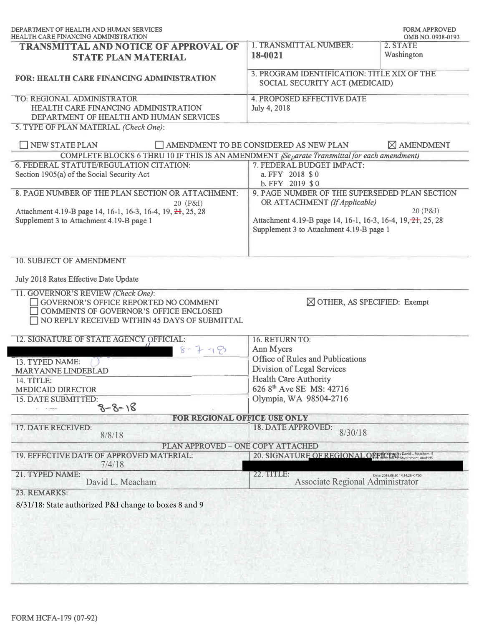| DEPARTMENT OF HEALTH AND HUMAN SERVICES<br><b>HEALTH CARE FINANCING ADMINISTRATION</b>                                                                                   | <b>FORM APPROVED</b><br>OMB NO. 0938-0193                                                                                                                                                             |                                   |
|--------------------------------------------------------------------------------------------------------------------------------------------------------------------------|-------------------------------------------------------------------------------------------------------------------------------------------------------------------------------------------------------|-----------------------------------|
| <b>TRANSMITTAL AND NOTICE OF APPROVAL OF</b><br><b>STATE PLAN MATERIAL</b>                                                                                               | 1. TRANSMITTAL NUMBER:<br>18-0021                                                                                                                                                                     | 2. STATE<br>Washington            |
| <b>FOR: HEALTH CARE FINANCING ADMINISTRATION</b>                                                                                                                         | 3. PROGRAM IDENTIFICATION: TITLE XIX OF THE<br>SOCIAL SECURITY ACT (MEDICAID)                                                                                                                         |                                   |
| TO: REGIONAL ADMINISTRATOR<br>HEALTH CARE FINANCING ADMINISTRATION<br>DEPARTMENT OF HEALTH AND HUMAN SERVICES<br>5. TYPE OF PLAN MATERIAL (Check One):                   | <b>4. PROPOSED EFFECTIVE DATE</b><br>July 4, 2018                                                                                                                                                     |                                   |
| <b>NEW STATE PLAN</b>                                                                                                                                                    | AMENDMENT TO BE CONSIDERED AS NEW PLAN                                                                                                                                                                | $\boxtimes$ AMENDMENT             |
| COMPLETE BLOCKS 6 THRU 10 IF THIS IS AN AMENDMENT (Separate Transmittal for each amendment)                                                                              |                                                                                                                                                                                                       |                                   |
| 6. FEDERAL STATUTE/REGULATION CITATION:<br>Section 1905(a) of the Social Security Act                                                                                    | 7. FEDERAL BUDGET IMPACT:<br>a. FFY 2018 \$0<br>$b. FFY$ 2019 \$0                                                                                                                                     |                                   |
| 8. PAGE NUMBER OF THE PLAN SECTION OR ATTACHMENT:<br>20 (P&I)<br>Attachment 4.19-B page 14, 16-1, 16-3, 16-4, 19, 21, 25, 28<br>Supplement 3 to Attachment 4.19-B page 1 | 9. PAGE NUMBER OF THE SUPERSEDED PLAN SECTION<br>OR ATTACHMENT (If Applicable)<br>20 (P&I)<br>Attachment 4.19-B page 14, 16-1, 16-3, 16-4, 19, 21, 25, 28<br>Supplement 3 to Attachment 4.19-B page 1 |                                   |
| <b>10. SUBJECT OF AMENDMENT</b>                                                                                                                                          |                                                                                                                                                                                                       |                                   |
| July 2018 Rates Effective Date Update                                                                                                                                    |                                                                                                                                                                                                       |                                   |
| 11. GOVERNOR'S REVIEW (Check One):<br>GOVERNOR'S OFFICE REPORTED NO COMMENT<br>COMMENTS OF GOVERNOR'S OFFICE ENCLOSED<br>NO REPLY RECEIVED WITHIN 45 DAYS OF SUBMITTAL   | $\boxtimes$ OTHER, AS SPECIFIED: Exempt                                                                                                                                                               |                                   |
| 12. SIGNATURE OF STATE AGENCY OFFICIAL:                                                                                                                                  | 16. RETURN TO:                                                                                                                                                                                        |                                   |
| $8 - 7 - 19$                                                                                                                                                             | Ann Myers                                                                                                                                                                                             |                                   |
| 13. TYPED NAME:                                                                                                                                                          | Office of Rules and Publications                                                                                                                                                                      |                                   |
| MARYANNE LINDEBLAD                                                                                                                                                       | Division of Legal Services                                                                                                                                                                            |                                   |
| 14. TITLE:                                                                                                                                                               | <b>Health Care Authority</b>                                                                                                                                                                          |                                   |
| <b>MEDICAID DIRECTOR</b>                                                                                                                                                 | 626 8 <sup>th</sup> Ave SE MS: 42716                                                                                                                                                                  |                                   |
| 15. DATE SUBMITTED:<br>$8 - 8 - 18$                                                                                                                                      | Olympia, WA 98504-2716                                                                                                                                                                                |                                   |
| FOR REGIONAL OFFICE USE ONLY                                                                                                                                             |                                                                                                                                                                                                       |                                   |
| 17. DATE RECEIVED:<br>8/8/18                                                                                                                                             | 18. DATE APPROVED:<br>8/30/18                                                                                                                                                                         |                                   |
| PLAN APPROVED - ONE COPY ATTACHED                                                                                                                                        |                                                                                                                                                                                                       |                                   |
| 19. EFFECTIVE DATE OF APPROVED MATERIAL:<br>7/4/18                                                                                                                       | 20. SIGNATURE OF REGIONAL OF THE MAP AND DRIVEL Meacham -S                                                                                                                                            |                                   |
| 21. TYPED NAME:<br>David L. Meacham                                                                                                                                      | 22. TITLE:<br>Associate Regional Administrator                                                                                                                                                        | Date: 2018.08.30 14:14:28 -07'00' |
| 23. REMARKS:                                                                                                                                                             |                                                                                                                                                                                                       |                                   |
| 8/31/18: State authorized P&I change to boxes 8 and 9                                                                                                                    |                                                                                                                                                                                                       |                                   |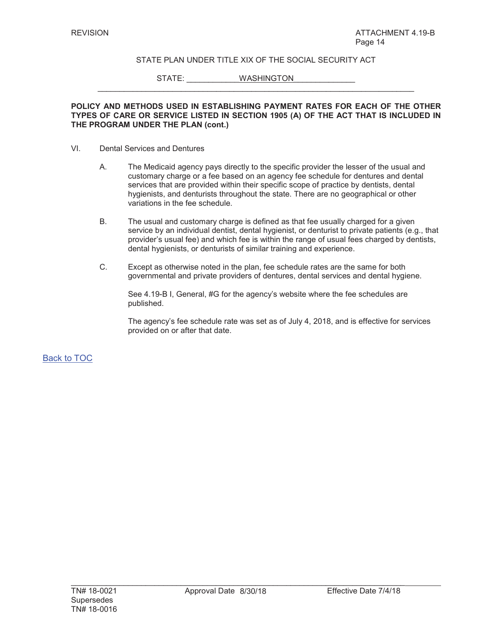$\_$  , and the set of the set of the set of the set of the set of the set of the set of the set of the set of the set of the set of the set of the set of the set of the set of the set of the set of the set of the set of th

STATE: WASHINGTON

#### **POLICY AND METHODS USED IN ESTABLISHING PAYMENT RATES FOR EACH OF THE OTHER TYPES OF CARE OR SERVICE LISTED IN SECTION 1905 (A) OF THE ACT THAT IS INCLUDED IN THE PROGRAM UNDER THE PLAN (cont.)**

- VI. Dental Services and Dentures
	- A. The Medicaid agency pays directly to the specific provider the lesser of the usual and customary charge or a fee based on an agency fee schedule for dentures and dental services that are provided within their specific scope of practice by dentists, dental hygienists, and denturists throughout the state. There are no geographical or other variations in the fee schedule.
	- B. The usual and customary charge is defined as that fee usually charged for a given service by an individual dentist, dental hygienist, or denturist to private patients (e.g., that provider's usual fee) and which fee is within the range of usual fees charged by dentists, dental hygienists, or denturists of similar training and experience.
	- C. Except as otherwise noted in the plan, fee schedule rates are the same for both governmental and private providers of dentures, dental services and dental hygiene.

See 4.19-B I, General, #G for the agency's website where the fee schedules are published.

The agency's fee schedule rate was set as of July 4, 2018, and is effective for services provided on or after that date.

Back to TOC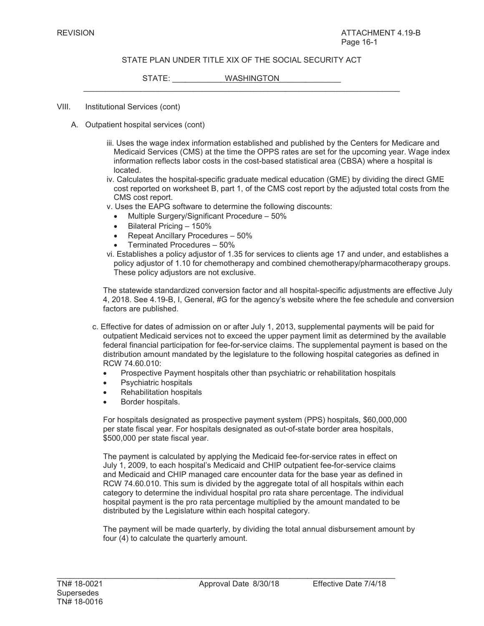$\_$  , and the set of the set of the set of the set of the set of the set of the set of the set of the set of the set of the set of the set of the set of the set of the set of the set of the set of the set of the set of th

STATE: WASHINGTON

- VIII. Institutional Services (cont)
	- A. Outpatient hospital services (cont)
		- iii. Uses the wage index information established and published by the Centers for Medicare and Medicaid Services (CMS) at the time the OPPS rates are set for the upcoming year. Wage index information reflects labor costs in the cost-based statistical area (CBSA) where a hospital is located.
		- iv. Calculates the hospital-specific graduate medical education (GME) by dividing the direct GME cost reported on worksheet B, part 1, of the CMS cost report by the adjusted total costs from the CMS cost report.
		- v. Uses the EAPG software to determine the following discounts:
			- Multiple Surgery/Significant Procedure 50%
			- $\bullet$  Bilateral Pricing 150%
			- $\bullet$  Repeat Ancillary Procedures 50%
			- Terminated Procedures 50%
		- vi. Establishes a policy adjustor of 1.35 for services to clients age 17 and under, and establishes a policy adjustor of 1.10 for chemotherapy and combined chemotherapy/pharmacotherapy groups. These policy adjustors are not exclusive.

The statewide standardized conversion factor and all hospital-specific adjustments are effective July 4, 2018. See 4.19-B, I, General, #G for the agency's website where the fee schedule and conversion factors are published.

- c. Effective for dates of admission on or after July 1, 2013, supplemental payments will be paid for outpatient Medicaid services not to exceed the upper payment limit as determined by the available federal financial participation for fee-for-service claims. The supplemental payment is based on the distribution amount mandated by the legislature to the following hospital categories as defined in RCW 74.60.010:
	- Prospective Payment hospitals other than psychiatric or rehabilitation hospitals
	- Psychiatric hospitals
	- **Rehabilitation hospitals**
	- Border hospitals.

For hospitals designated as prospective payment system (PPS) hospitals, \$60,000,000 per state fiscal year. For hospitals designated as out-of-state border area hospitals, \$500,000 per state fiscal year.

The payment is calculated by applying the Medicaid fee-for-service rates in effect on July 1, 2009, to each hospital's Medicaid and CHIP outpatient fee-for-service claims and Medicaid and CHIP managed care encounter data for the base year as defined in RCW 74.60.010. This sum is divided by the aggregate total of all hospitals within each category to determine the individual hospital pro rata share percentage. The individual hospital payment is the pro rata percentage multiplied by the amount mandated to be distributed by the Legislature within each hospital category.

The payment will be made quarterly, by dividing the total annual disbursement amount by four (4) to calculate the quarterly amount.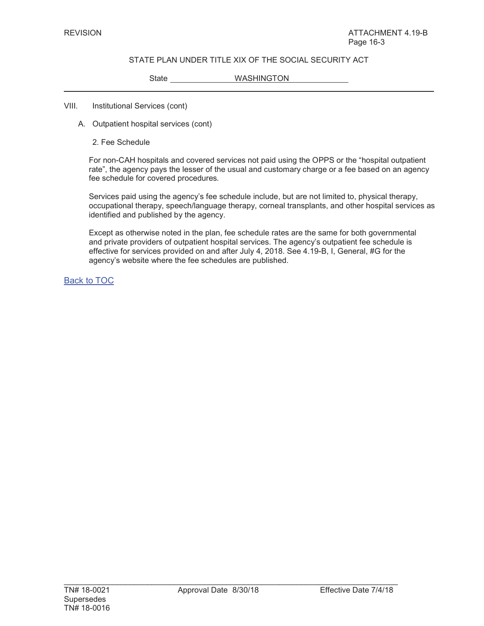State WASHINGTON

#### VIII. Institutional Services (cont)

- A. Outpatient hospital services (cont)
	- 2. Fee Schedule

For non-CAH hospitals and covered services not paid using the OPPS or the "hospital outpatient rate", the agency pays the lesser of the usual and customary charge or a fee based on an agency fee schedule for covered procedures*.*

Services paid using the agency's fee schedule include, but are not limited to, physical therapy, occupational therapy, speech/language therapy, corneal transplants, and other hospital services as identified and published by the agency.

Except as otherwise noted in the plan, fee schedule rates are the same for both governmental and private providers of outpatient hospital services. The agency's outpatient fee schedule is effective for services provided on and after July 4, 2018. See 4.19-B, I, General, #G for the agency's website where the fee schedules are published.

Back to TOC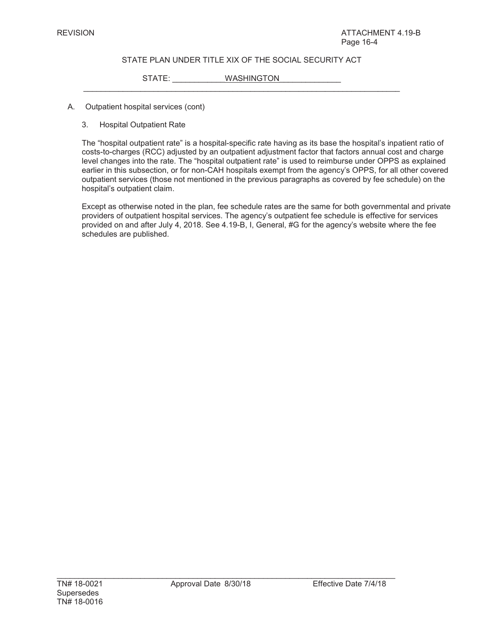$\_$  , and the set of the set of the set of the set of the set of the set of the set of the set of the set of the set of the set of the set of the set of the set of the set of the set of the set of the set of the set of th

STATE: WASHINGTON

- A. Outpatient hospital services (cont)
	- 3. Hospital Outpatient Rate

The "hospital outpatient rate" is a hospital-specific rate having as its base the hospital's inpatient ratio of costs-to-charges (RCC) adjusted by an outpatient adjustment factor that factors annual cost and charge level changes into the rate. The "hospital outpatient rate" is used to reimburse under OPPS as explained earlier in this subsection, or for non-CAH hospitals exempt from the agency's OPPS, for all other covered outpatient services (those not mentioned in the previous paragraphs as covered by fee schedule) on the hospital's outpatient claim.

Except as otherwise noted in the plan, fee schedule rates are the same for both governmental and private providers of outpatient hospital services. The agency's outpatient fee schedule is effective for services provided on and after July 4, 2018. See 4.19-B, I, General, #G for the agency's website where the fee schedules are published.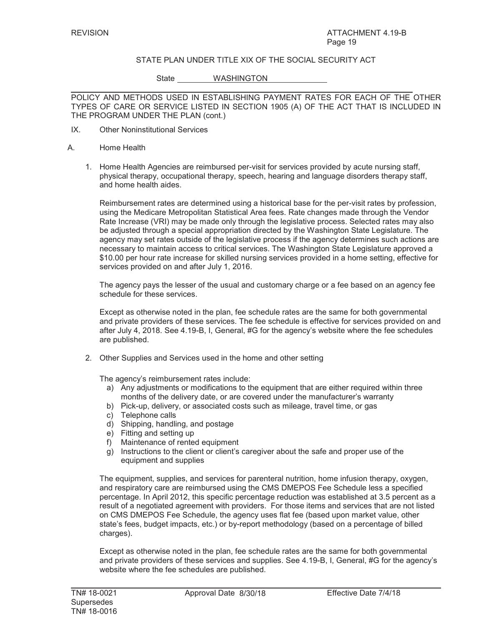State WASHINGTON

POLICY AND METHODS USED IN ESTABLISHING PAYMENT RATES FOR EACH OF THE OTHER TYPES OF CARE OR SERVICE LISTED IN SECTION 1905 (A) OF THE ACT THAT IS INCLUDED IN THE PROGRAM UNDER THE PLAN (cont.)

- IX. Other Noninstitutional Services
- A. Home Health
	- 1. Home Health Agencies are reimbursed per-visit for services provided by acute nursing staff, physical therapy, occupational therapy, speech, hearing and language disorders therapy staff, and home health aides.

Reimbursement rates are determined using a historical base for the per-visit rates by profession, using the Medicare Metropolitan Statistical Area fees. Rate changes made through the Vendor Rate Increase (VRI) may be made only through the legislative process. Selected rates may also be adjusted through a special appropriation directed by the Washington State Legislature. The agency may set rates outside of the legislative process if the agency determines such actions are necessary to maintain access to critical services. The Washington State Legislature approved a \$10.00 per hour rate increase for skilled nursing services provided in a home setting, effective for services provided on and after July 1, 2016.

The agency pays the lesser of the usual and customary charge or a fee based on an agency fee schedule for these services.

Except as otherwise noted in the plan, fee schedule rates are the same for both governmental and private providers of these services. The fee schedule is effective for services provided on and after July 4, 2018. See 4.19-B, I, General, #G for the agency's website where the fee schedules are published.

2. Other Supplies and Services used in the home and other setting

The agency's reimbursement rates include:

- a) Any adjustments or modifications to the equipment that are either required within three months of the delivery date, or are covered under the manufacturer's warranty
- b) Pick-up, delivery, or associated costs such as mileage, travel time, or gas
- c) Telephone calls
- d) Shipping, handling, and postage
- e) Fitting and setting up
- f) Maintenance of rented equipment
- g) Instructions to the client or client's caregiver about the safe and proper use of the equipment and supplies

The equipment, supplies, and services for parenteral nutrition, home infusion therapy, oxygen, and respiratory care are reimbursed using the CMS DMEPOS Fee Schedule less a specified percentage. In April 2012, this specific percentage reduction was established at 3.5 percent as a result of a negotiated agreement with providers. For those items and services that are not listed on CMS DMEPOS Fee Schedule, the agency uses flat fee (based upon market value, other state's fees, budget impacts, etc.) or by-report methodology (based on a percentage of billed charges).

Except as otherwise noted in the plan, fee schedule rates are the same for both governmental and private providers of these services and supplies. See 4.19-B, I, General, #G for the agency's website where the fee schedules are published.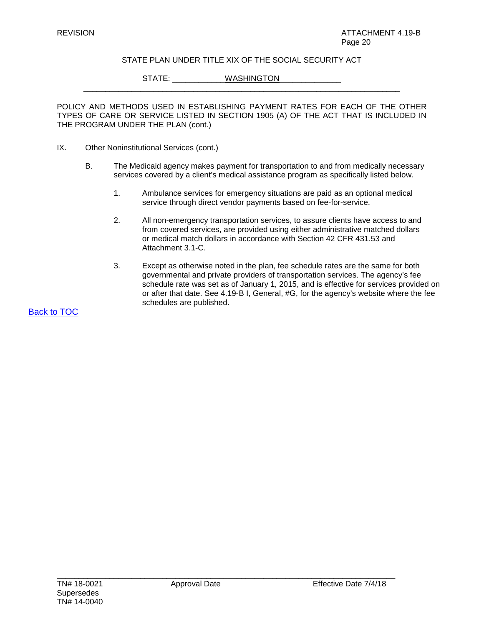\_\_\_\_\_\_\_\_\_\_\_\_\_\_\_\_\_\_\_\_\_\_\_\_\_\_\_\_\_\_\_\_\_\_\_\_\_\_\_\_\_\_\_\_\_\_\_\_\_\_\_\_\_\_\_\_\_\_\_\_\_\_\_\_\_\_\_\_\_\_\_\_

STATE: WASHINGTON

POLICY AND METHODS USED IN ESTABLISHING PAYMENT RATES FOR EACH OF THE OTHER TYPES OF CARE OR SERVICE LISTED IN SECTION 1905 (A) OF THE ACT THAT IS INCLUDED IN THE PROGRAM UNDER THE PLAN (cont.)

- IX. Other Noninstitutional Services (cont.)
	- B. The Medicaid agency makes payment for transportation to and from medically necessary services covered by a client's medical assistance program as specifically listed below.
		- 1. Ambulance services for emergency situations are paid as an optional medical service through direct vendor payments based on fee-for-service.
		- 2. All non-emergency transportation services, to assure clients have access to and from covered services, are provided using either administrative matched dollars or medical match dollars in accordance with Section 42 CFR 431.53 and Attachment 3.1-C.
		- 3. Except as otherwise noted in the plan, fee schedule rates are the same for both governmental and private providers of transportation services. The agency's fee schedule rate was set as of January 1, 2015, and is effective for services provided on or after that date. See 4.19-B I, General, #G, for the agency's website where the fee schedules are published.

Back to TOC

\_\_\_\_\_\_\_\_\_\_\_\_\_\_\_\_\_\_\_\_\_\_\_\_\_\_\_\_\_\_\_\_\_\_\_\_\_\_\_\_\_\_\_\_\_\_\_\_\_\_\_\_\_\_\_\_\_\_\_\_\_\_\_\_\_\_\_\_\_\_\_\_\_\_\_\_\_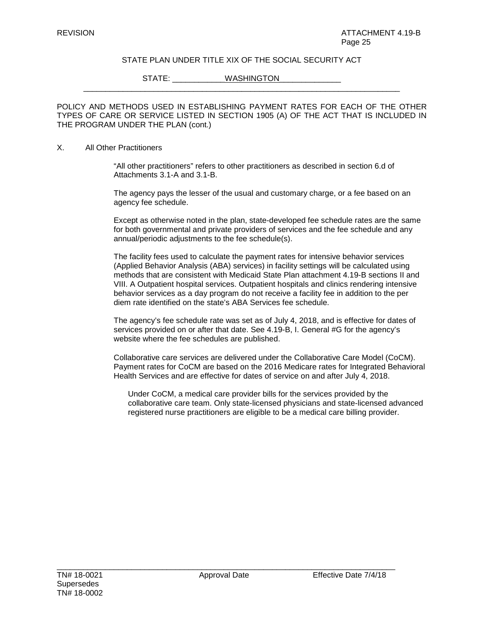STATE: WASHINGTON

POLICY AND METHODS USED IN ESTABLISHING PAYMENT RATES FOR EACH OF THE OTHER TYPES OF CARE OR SERVICE LISTED IN SECTION 1905 (A) OF THE ACT THAT IS INCLUDED IN THE PROGRAM UNDER THE PLAN (cont.)

\_\_\_\_\_\_\_\_\_\_\_\_\_\_\_\_\_\_\_\_\_\_\_\_\_\_\_\_\_\_\_\_\_\_\_\_\_\_\_\_\_\_\_\_\_\_\_\_\_\_\_\_\_\_\_\_\_\_\_\_\_\_\_\_\_\_\_\_\_\_\_\_

#### X. All Other Practitioners

"All other practitioners" refers to other practitioners as described in section 6.d of Attachments 3.1-A and 3.1-B.

The agency pays the lesser of the usual and customary charge, or a fee based on an agency fee schedule.

Except as otherwise noted in the plan, state-developed fee schedule rates are the same for both governmental and private providers of services and the fee schedule and any annual/periodic adjustments to the fee schedule(s).

The facility fees used to calculate the payment rates for intensive behavior services (Applied Behavior Analysis (ABA) services) in facility settings will be calculated using methods that are consistent with Medicaid State Plan attachment 4.19-B sections II and VIII. A Outpatient hospital services. Outpatient hospitals and clinics rendering intensive behavior services as a day program do not receive a facility fee in addition to the per diem rate identified on the state's ABA Services fee schedule.

The agency's fee schedule rate was set as of July 4, 2018, and is effective for dates of services provided on or after that date. See 4.19-B, I. General #G for the agency's website where the fee schedules are published.

Collaborative care services are delivered under the Collaborative Care Model (CoCM). Payment rates for CoCM are based on the 2016 Medicare rates for Integrated Behavioral Health Services and are effective for dates of service on and after July 4, 2018.

Under CoCM, a medical care provider bills for the services provided by the collaborative care team. Only state-licensed physicians and state-licensed advanced registered nurse practitioners are eligible to be a medical care billing provider.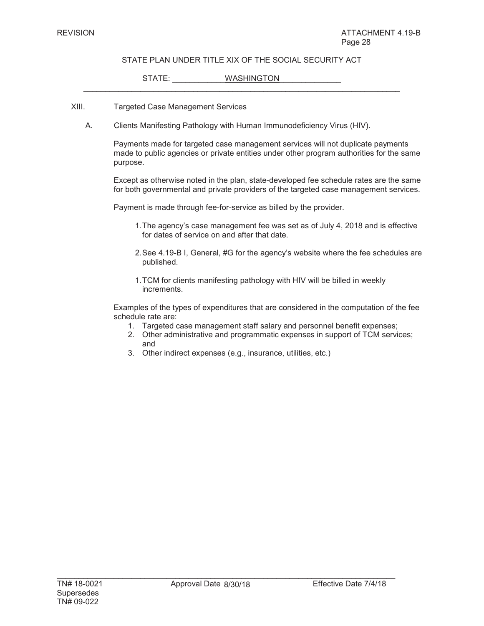$\_$  , and the set of the set of the set of the set of the set of the set of the set of the set of the set of the set of the set of the set of the set of the set of the set of the set of the set of the set of the set of th

#### STATE: WASHINGTON

#### XIII. Targeted Case Management Services

A. Clients Manifesting Pathology with Human Immunodeficiency Virus (HIV).

Payments made for targeted case management services will not duplicate payments made to public agencies or private entities under other program authorities for the same purpose.

Except as otherwise noted in the plan, state-developed fee schedule rates are the same for both governmental and private providers of the targeted case management services.

Payment is made through fee-for-service as billed by the provider.

- 1.The agency's case management fee was set as of July 4, 2018 and is effective for dates of service on and after that date.
- 2.See 4.19-B I, General, #G for the agency's website where the fee schedules are published.
- 1.TCM for clients manifesting pathology with HIV will be billed in weekly increments.

Examples of the types of expenditures that are considered in the computation of the fee schedule rate are:

- 1. Targeted case management staff salary and personnel benefit expenses;
- 2. Other administrative and programmatic expenses in support of TCM services; and
- 3. Other indirect expenses (e.g., insurance, utilities, etc.)